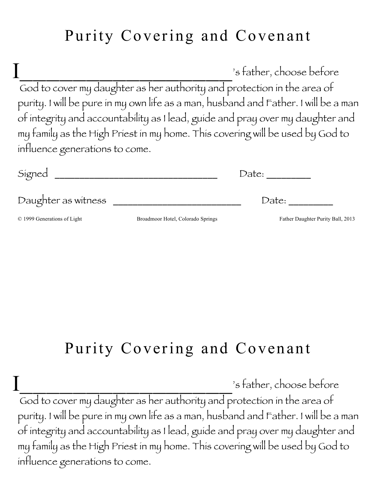## Purity Covering and Covenant

's father, choose before God to cover my daughter as her authority and protection in the area of purity. I will be pure in my own life as a man, husband and Father. I will be a man of integrity and accountability as I lead, guide and pray over my daughter and my family as the High Priest in my home. This covering will be used by God to influence generations to come. I

| Signed                      |                                   | Date:                             |  |
|-----------------------------|-----------------------------------|-----------------------------------|--|
| Daughter as witness         |                                   | Date:                             |  |
| © 1999 Generations of Light | Broadmoor Hotel, Colorado Springs | Father Daughter Purity Ball, 2013 |  |

## Purity Covering and Covenant

's father, choose before God to cover my daughter as her authority and protection in the area of purity. I will be pure in my own life as a man, husband and Father. I will be a man of integrity and accountability as I lead, guide and pray over my daughter and my family as the High Priest in my home. This covering will be used by God to influence generations to come. I